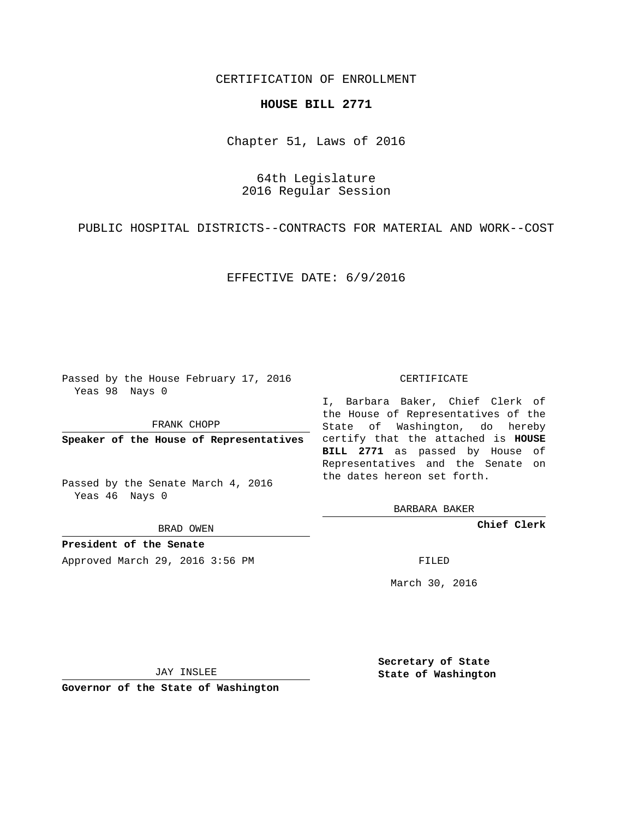## CERTIFICATION OF ENROLLMENT

## **HOUSE BILL 2771**

Chapter 51, Laws of 2016

64th Legislature 2016 Regular Session

PUBLIC HOSPITAL DISTRICTS--CONTRACTS FOR MATERIAL AND WORK--COST

EFFECTIVE DATE: 6/9/2016

Passed by the House February 17, 2016 Yeas 98 Nays 0

FRANK CHOPP

Passed by the Senate March 4, 2016 Yeas 46 Nays 0

BRAD OWEN

**President of the Senate**

Approved March 29, 2016 3:56 PM FILED

## CERTIFICATE

**Speaker of the House of Representatives** certify that the attached is **HOUSE** I, Barbara Baker, Chief Clerk of the House of Representatives of the State of Washington, do hereby **BILL 2771** as passed by House of Representatives and the Senate on the dates hereon set forth.

BARBARA BAKER

**Chief Clerk**

March 30, 2016

JAY INSLEE

**Governor of the State of Washington**

**Secretary of State State of Washington**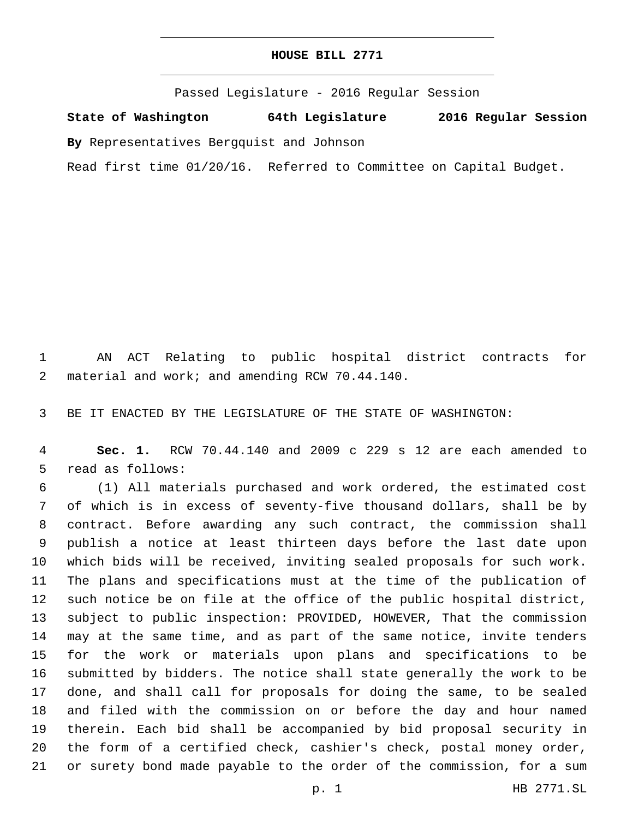Passed Legislature - 2016 Regular Session

**State of Washington 64th Legislature 2016 Regular Session**

**By** Representatives Bergquist and Johnson

Read first time 01/20/16. Referred to Committee on Capital Budget.

 AN ACT Relating to public hospital district contracts for 2 material and work; and amending RCW 70.44.140.

BE IT ENACTED BY THE LEGISLATURE OF THE STATE OF WASHINGTON:

 **Sec. 1.** RCW 70.44.140 and 2009 c 229 s 12 are each amended to 5 read as follows:

 (1) All materials purchased and work ordered, the estimated cost of which is in excess of seventy-five thousand dollars, shall be by contract. Before awarding any such contract, the commission shall publish a notice at least thirteen days before the last date upon which bids will be received, inviting sealed proposals for such work. The plans and specifications must at the time of the publication of such notice be on file at the office of the public hospital district, subject to public inspection: PROVIDED, HOWEVER, That the commission may at the same time, and as part of the same notice, invite tenders for the work or materials upon plans and specifications to be submitted by bidders. The notice shall state generally the work to be done, and shall call for proposals for doing the same, to be sealed and filed with the commission on or before the day and hour named therein. Each bid shall be accompanied by bid proposal security in the form of a certified check, cashier's check, postal money order, or surety bond made payable to the order of the commission, for a sum